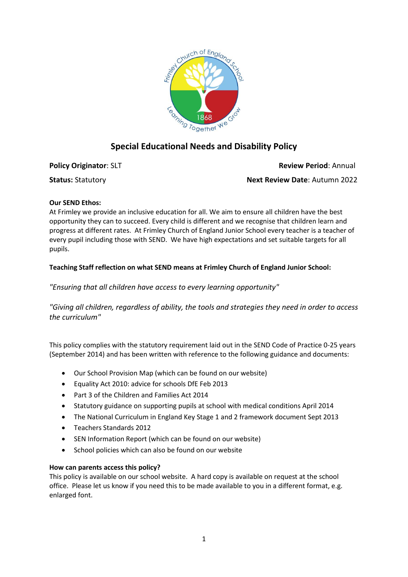

## **Special Educational Needs and Disability Policy**

**Policy Originator: SLT Review Period: Annual Status:** Statutory **Next Review Date**: Autumn 2022

# **Our SEND Ethos:**

At Frimley we provide an inclusive education for all. We aim to ensure all children have the best opportunity they can to succeed. Every child is different and we recognise that children learn and progress at different rates. At Frimley Church of England Junior School every teacher is a teacher of every pupil including those with SEND. We have high expectations and set suitable targets for all pupils.

## **Teaching Staff reflection on what SEND means at Frimley Church of England Junior School:**

*"Ensuring that all children have access to every learning opportunity"*

*"Giving all children, regardless of ability, the tools and strategies they need in order to access the curriculum"*

This policy complies with the statutory requirement laid out in the SEND Code of Practice 0-25 years (September 2014) and has been written with reference to the following guidance and documents:

- Our School Provision Map (which can be found on our website)
- Equality Act 2010: advice for schools DfE Feb 2013
- Part 3 of the Children and Families Act 2014
- Statutory guidance on supporting pupils at school with medical conditions April 2014
- The National Curriculum in England Key Stage 1 and 2 framework document Sept 2013
- Teachers Standards 2012
- SEN Information Report (which can be found on our website)
- School policies which can also be found on our website

#### **How can parents access this policy?**

This policy is available on our school website. A hard copy is available on request at the school office. Please let us know if you need this to be made available to you in a different format, e.g. enlarged font.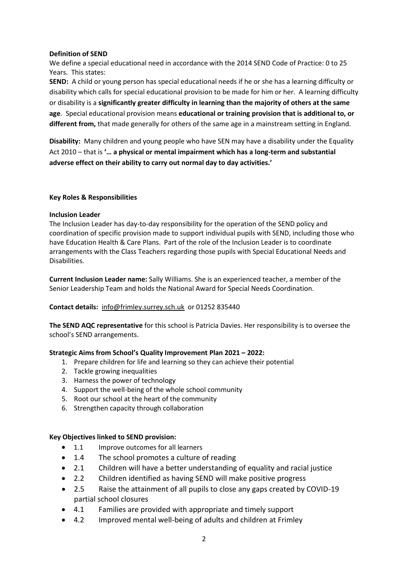### **Definition of SEND**

We define a special educational need in accordance with the 2014 SEND Code of Practice: 0 to 25 Years. This states:

**SEND:** A child or young person has special educational needs if he or she has a learning difficulty or disability which calls for special educational provision to be made for him or her. A learning difficulty or disability is a **significantly greater difficulty in learning than the majority of others at the same age**. Special educational provision means **educational or training provision that is additional to, or different from,** that made generally for others of the same age in a mainstream setting in England.

**Disability:** Many children and young people who have SEN may have a disability under the Equality Act 2010 – that is **'… a physical or mental impairment which has a long-term and substantial adverse effect on their ability to carry out normal day to day activities.'**

### **Key Roles & Responsibilities**

### **Inclusion Leader**

The Inclusion Leader has day-to-day responsibility for the operation of the SEND policy and coordination of specific provision made to support individual pupils with SEND, including those who have Education Health & Care Plans. Part of the role of the Inclusion Leader is to coordinate arrangements with the Class Teachers regarding those pupils with Special Educational Needs and Disabilities.

**Current Inclusion Leader name:** Sally Williams. She is an experienced teacher, a member of the Senior Leadership Team and holds the National Award for Special Needs Coordination.

## **Contact details:** [info@frimley.surrey.sch.uk](mailto:info@frimley.surrey.sch.uk) or 01252 835440

**The SEND AQC representative** for this school is Patricia Davies. Her responsibility is to oversee the school's SEND arrangements.

## **Strategic Aims from School's Quality Improvement Plan 2021 – 2022:**

- 1. Prepare children for life and learning so they can achieve their potential
- 2. Tackle growing inequalities
- 3. Harness the power of technology
- 4. Support the well-being of the whole school community
- 5. Root our school at the heart of the community
- 6. Strengthen capacity through collaboration

## **Key Objectives linked to SEND provision:**

- 1.1 Improve outcomes for all learners
- 1.4 The school promotes a culture of reading
- 2.1 Children will have a better understanding of equality and racial justice
- 2.2 Children identified as having SEND will make positive progress
- 2.5 Raise the attainment of all pupils to close any gaps created by COVID-19 partial school closures
- 4.1 Families are provided with appropriate and timely support
- 4.2 Improved mental well-being of adults and children at Frimley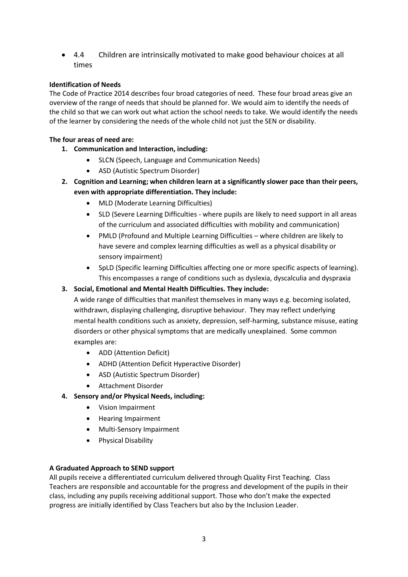• 4.4 Children are intrinsically motivated to make good behaviour choices at all times

## **Identification of Needs**

The Code of Practice 2014 describes four broad categories of need. These four broad areas give an overview of the range of needs that should be planned for. We would aim to identify the needs of the child so that we can work out what action the school needs to take. We would identify the needs of the learner by considering the needs of the whole child not just the SEN or disability.

## **The four areas of need are:**

- **1. Communication and Interaction, including:**
	- SLCN (Speech, Language and Communication Needs)
	- ASD (Autistic Spectrum Disorder)
- **2. Cognition and Learning; when children learn at a significantly slower pace than their peers, even with appropriate differentiation. They include:**
	- MLD (Moderate Learning Difficulties)
	- SLD (Severe Learning Difficulties where pupils are likely to need support in all areas of the curriculum and associated difficulties with mobility and communication)
	- PMLD (Profound and Multiple Learning Difficulties where children are likely to have severe and complex learning difficulties as well as a physical disability or sensory impairment)
	- SpLD (Specific learning Difficulties affecting one or more specific aspects of learning). This encompasses a range of conditions such as dyslexia, dyscalculia and dyspraxia

## **3. Social, Emotional and Mental Health Difficulties. They include:**

A wide range of difficulties that manifest themselves in many ways e.g. becoming isolated, withdrawn, displaying challenging, disruptive behaviour. They may reflect underlying mental health conditions such as anxiety, depression, self-harming, substance misuse, eating disorders or other physical symptoms that are medically unexplained. Some common examples are:

- ADD (Attention Deficit)
- ADHD (Attention Deficit Hyperactive Disorder)
- ASD (Autistic Spectrum Disorder)
- Attachment Disorder
- **4. Sensory and/or Physical Needs, including:**
	- Vision Impairment
	- Hearing Impairment
	- Multi-Sensory Impairment
	- Physical Disability

## **A Graduated Approach to SEND support**

All pupils receive a differentiated curriculum delivered through Quality First Teaching. Class Teachers are responsible and accountable for the progress and development of the pupils in their class, including any pupils receiving additional support. Those who don't make the expected progress are initially identified by Class Teachers but also by the Inclusion Leader.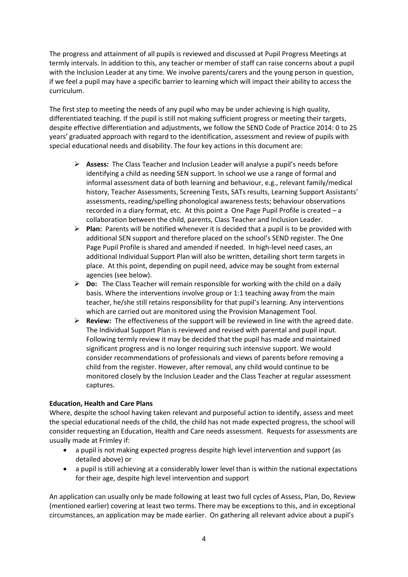The progress and attainment of all pupils is reviewed and discussed at Pupil Progress Meetings at termly intervals. In addition to this, any teacher or member of staff can raise concerns about a pupil with the Inclusion Leader at any time. We involve parents/carers and the young person in question, if we feel a pupil may have a specific barrier to learning which will impact their ability to access the curriculum.

The first step to meeting the needs of any pupil who may be under achieving is high quality, differentiated teaching. If the pupil is still not making sufficient progress or meeting their targets, despite effective differentiation and adjustments, we follow the SEND Code of Practice 2014: 0 to 25 years' graduated approach with regard to the identification, assessment and review of pupils with special educational needs and disability. The four key actions in this document are:

- **Assess:** The Class Teacher and Inclusion Leader will analyse a pupil's needs before identifying a child as needing SEN support. In school we use a range of formal and informal assessment data of both learning and behaviour, e.g., relevant family/medical history, Teacher Assessments, Screening Tests, SATs results, Learning Support Assistants' assessments, reading/spelling phonological awareness tests; behaviour observations recorded in a diary format, etc. At this point a One Page Pupil Profile is created – a collaboration between the child, parents, Class Teacher and Inclusion Leader.
- **Plan:** Parents will be notified whenever it is decided that a pupil is to be provided with additional SEN support and therefore placed on the school's SEND register. The One Page Pupil Profile is shared and amended if needed. In high-level need cases, an additional Individual Support Plan will also be written, detailing short term targets in place. At this point, depending on pupil need, advice may be sought from external agencies (see below).
- **Do:** The Class Teacher will remain responsible for working with the child on a daily basis. Where the interventions involve group or 1:1 teaching away from the main teacher, he/she still retains responsibility for that pupil's learning. Any interventions which are carried out are monitored using the Provision Management Tool.
- **Review:** The effectiveness of the support will be reviewed in line with the agreed date. The Individual Support Plan is reviewed and revised with parental and pupil input. Following termly review it may be decided that the pupil has made and maintained significant progress and is no longer requiring such intensive support. We would consider recommendations of professionals and views of parents before removing a child from the register. However, after removal, any child would continue to be monitored closely by the Inclusion Leader and the Class Teacher at regular assessment captures.

## **Education, Health and Care Plans**

Where, despite the school having taken relevant and purposeful action to identify, assess and meet the special educational needs of the child, the child has not made expected progress, the school will consider requesting an Education, Health and Care needs assessment. Requests for assessments are usually made at Frimley if:

- a pupil is not making expected progress despite high level intervention and support (as detailed above) or
- a pupil is still achieving at a considerably lower level than is within the national expectations for their age, despite high level intervention and support

An application can usually only be made following at least two full cycles of Assess, Plan, Do, Review (mentioned earlier) covering at least two terms. There may be exceptions to this, and in exceptional circumstances, an application may be made earlier. On gathering all relevant advice about a pupil's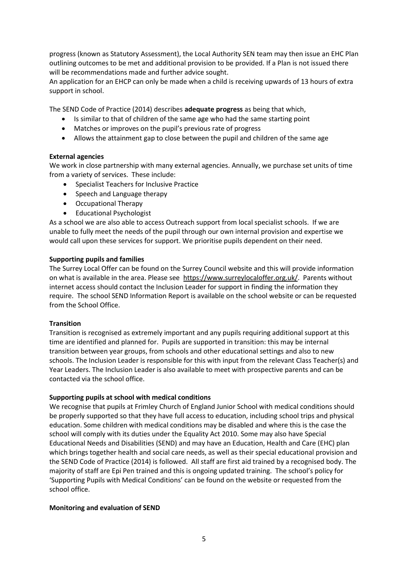progress (known as Statutory Assessment), the Local Authority SEN team may then issue an EHC Plan outlining outcomes to be met and additional provision to be provided. If a Plan is not issued there will be recommendations made and further advice sought.

An application for an EHCP can only be made when a child is receiving upwards of 13 hours of extra support in school.

The SEND Code of Practice (2014) describes **adequate progress** as being that which,

- Is similar to that of children of the same age who had the same starting point
- Matches or improves on the pupil's previous rate of progress
- Allows the attainment gap to close between the pupil and children of the same age

### **External agencies**

We work in close partnership with many external agencies. Annually, we purchase set units of time from a variety of services. These include:

- Specialist Teachers for Inclusive Practice
- Speech and Language therapy
- Occupational Therapy
- Educational Psychologist

As a school we are also able to access Outreach support from local specialist schools. If we are unable to fully meet the needs of the pupil through our own internal provision and expertise we would call upon these services for support. We prioritise pupils dependent on their need.

#### **Supporting pupils and families**

The Surrey Local Offer can be found on the Surrey Council website and this will provide information on what is available in the area. Please see [https://www.surreylocaloffer.org.uk/.](https://www.surreylocaloffer.org.uk/) Parents without internet access should contact the Inclusion Leader for support in finding the information they require. The school SEND Information Report is available on the school website or can be requested from the School Office.

#### **Transition**

Transition is recognised as extremely important and any pupils requiring additional support at this time are identified and planned for. Pupils are supported in transition: this may be internal transition between year groups, from schools and other educational settings and also to new schools. The Inclusion Leader is responsible for this with input from the relevant Class Teacher(s) and Year Leaders. The Inclusion Leader is also available to meet with prospective parents and can be contacted via the school office.

#### **Supporting pupils at school with medical conditions**

We recognise that pupils at Frimley Church of England Junior School with medical conditions should be properly supported so that they have full access to education, including school trips and physical education. Some children with medical conditions may be disabled and where this is the case the school will comply with its duties under the Equality Act 2010. Some may also have Special Educational Needs and Disabilities (SEND) and may have an Education, Health and Care (EHC) plan which brings together health and social care needs, as well as their special educational provision and the SEND Code of Practice (2014) is followed. All staff are first aid trained by a recognised body. The majority of staff are Epi Pen trained and this is ongoing updated training. The school's policy for 'Supporting Pupils with Medical Conditions' can be found on the website or requested from the school office.

#### **Monitoring and evaluation of SEND**